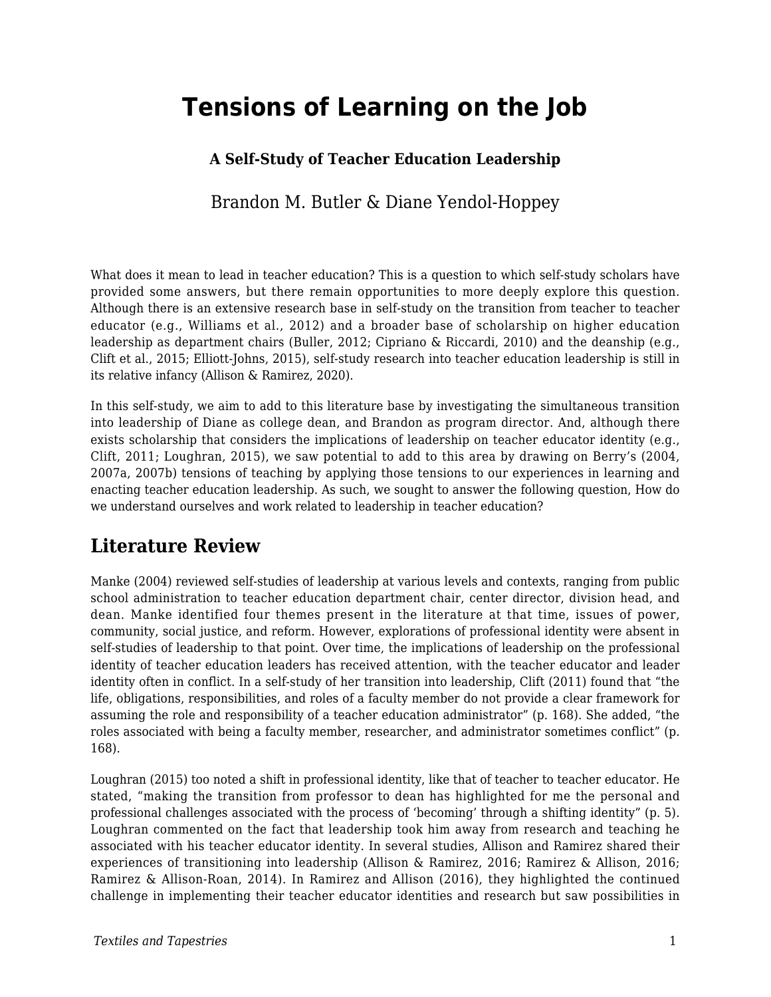# **Tensions of Learning on the Job**

#### **A Self-Study of Teacher Education Leadership**

Brandon M. Butler & Diane Yendol-Hoppey

What does it mean to lead in teacher education? This is a question to which self-study scholars have provided some answers, but there remain opportunities to more deeply explore this question. Although there is an extensive research base in self-study on the transition from teacher to teacher educator (e.g., Williams et al., 2012) and a broader base of scholarship on higher education leadership as department chairs (Buller, 2012; Cipriano & Riccardi, 2010) and the deanship (e.g., Clift et al., 2015; Elliott-Johns, 2015), self-study research into teacher education leadership is still in its relative infancy (Allison & Ramirez, 2020).

In this self-study, we aim to add to this literature base by investigating the simultaneous transition into leadership of Diane as college dean, and Brandon as program director. And, although there exists scholarship that considers the implications of leadership on teacher educator identity (e.g., Clift, 2011; Loughran, 2015), we saw potential to add to this area by drawing on Berry's (2004, 2007a, 2007b) tensions of teaching by applying those tensions to our experiences in learning and enacting teacher education leadership. As such, we sought to answer the following question, How do we understand ourselves and work related to leadership in teacher education?

## **Literature Review**

Manke (2004) reviewed self-studies of leadership at various levels and contexts, ranging from public school administration to teacher education department chair, center director, division head, and dean. Manke identified four themes present in the literature at that time, issues of power, community, social justice, and reform. However, explorations of professional identity were absent in self-studies of leadership to that point. Over time, the implications of leadership on the professional identity of teacher education leaders has received attention, with the teacher educator and leader identity often in conflict. In a self-study of her transition into leadership, Clift (2011) found that "the life, obligations, responsibilities, and roles of a faculty member do not provide a clear framework for assuming the role and responsibility of a teacher education administrator" (p. 168). She added, "the roles associated with being a faculty member, researcher, and administrator sometimes conflict" (p. 168).

Loughran (2015) too noted a shift in professional identity, like that of teacher to teacher educator. He stated, "making the transition from professor to dean has highlighted for me the personal and professional challenges associated with the process of 'becoming' through a shifting identity" (p. 5). Loughran commented on the fact that leadership took him away from research and teaching he associated with his teacher educator identity. In several studies, Allison and Ramirez shared their experiences of transitioning into leadership (Allison & Ramirez, 2016; Ramirez & Allison, 2016; Ramirez & Allison-Roan, 2014). In Ramirez and Allison (2016), they highlighted the continued challenge in implementing their teacher educator identities and research but saw possibilities in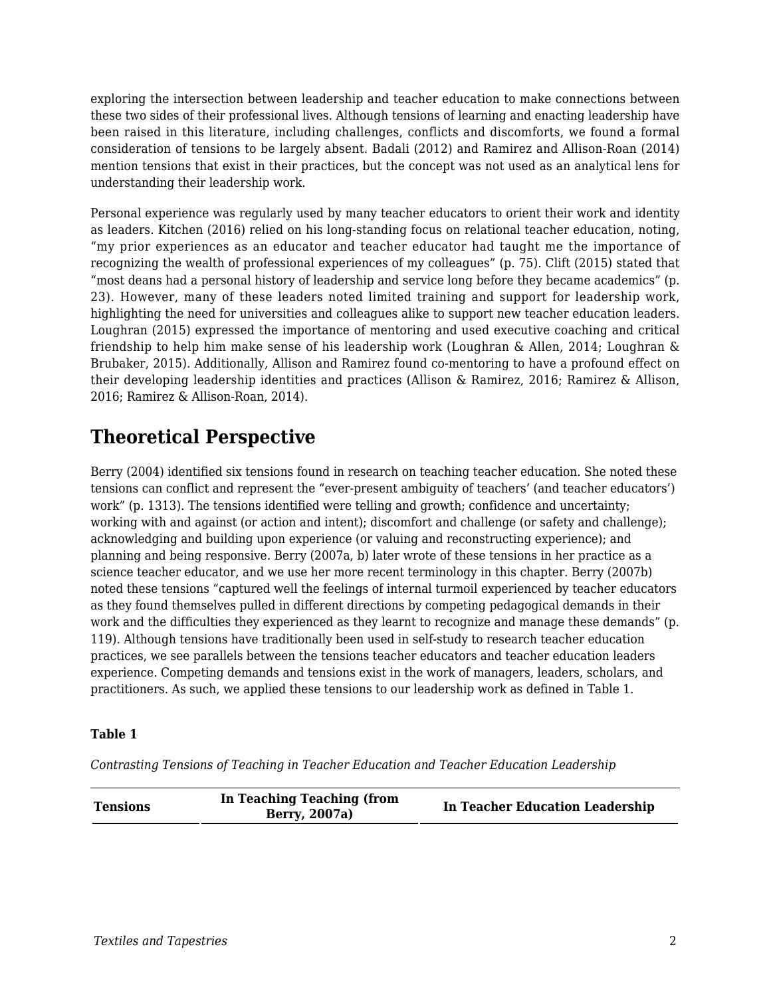exploring the intersection between leadership and teacher education to make connections between these two sides of their professional lives. Although tensions of learning and enacting leadership have been raised in this literature, including challenges, conflicts and discomforts, we found a formal consideration of tensions to be largely absent. Badali (2012) and Ramirez and Allison-Roan (2014) mention tensions that exist in their practices, but the concept was not used as an analytical lens for understanding their leadership work.

Personal experience was regularly used by many teacher educators to orient their work and identity as leaders. Kitchen (2016) relied on his long-standing focus on relational teacher education, noting, "my prior experiences as an educator and teacher educator had taught me the importance of recognizing the wealth of professional experiences of my colleagues" (p. 75). Clift (2015) stated that "most deans had a personal history of leadership and service long before they became academics" (p. 23). However, many of these leaders noted limited training and support for leadership work, highlighting the need for universities and colleagues alike to support new teacher education leaders. Loughran (2015) expressed the importance of mentoring and used executive coaching and critical friendship to help him make sense of his leadership work (Loughran & Allen, 2014; Loughran & Brubaker, 2015). Additionally, Allison and Ramirez found co-mentoring to have a profound effect on their developing leadership identities and practices (Allison & Ramirez, 2016; Ramirez & Allison, 2016; Ramirez & Allison-Roan, 2014).

## **Theoretical Perspective**

Berry (2004) identified six tensions found in research on teaching teacher education. She noted these tensions can conflict and represent the "ever-present ambiguity of teachers' (and teacher educators') work" (p. 1313). The tensions identified were telling and growth; confidence and uncertainty; working with and against (or action and intent); discomfort and challenge (or safety and challenge); acknowledging and building upon experience (or valuing and reconstructing experience); and planning and being responsive. Berry (2007a, b) later wrote of these tensions in her practice as a science teacher educator, and we use her more recent terminology in this chapter. Berry (2007b) noted these tensions "captured well the feelings of internal turmoil experienced by teacher educators as they found themselves pulled in different directions by competing pedagogical demands in their work and the difficulties they experienced as they learnt to recognize and manage these demands" (p. 119). Although tensions have traditionally been used in self-study to research teacher education practices, we see parallels between the tensions teacher educators and teacher education leaders experience. Competing demands and tensions exist in the work of managers, leaders, scholars, and practitioners. As such, we applied these tensions to our leadership work as defined in Table 1.

#### **Table 1**

*Contrasting Tensions of Teaching in Teacher Education and Teacher Education Leadership*

| <b>Tensions</b> | In Teaching Teaching (from<br>Berry, 2007a) | <b>In Teacher Education Leadership</b> |
|-----------------|---------------------------------------------|----------------------------------------|
|-----------------|---------------------------------------------|----------------------------------------|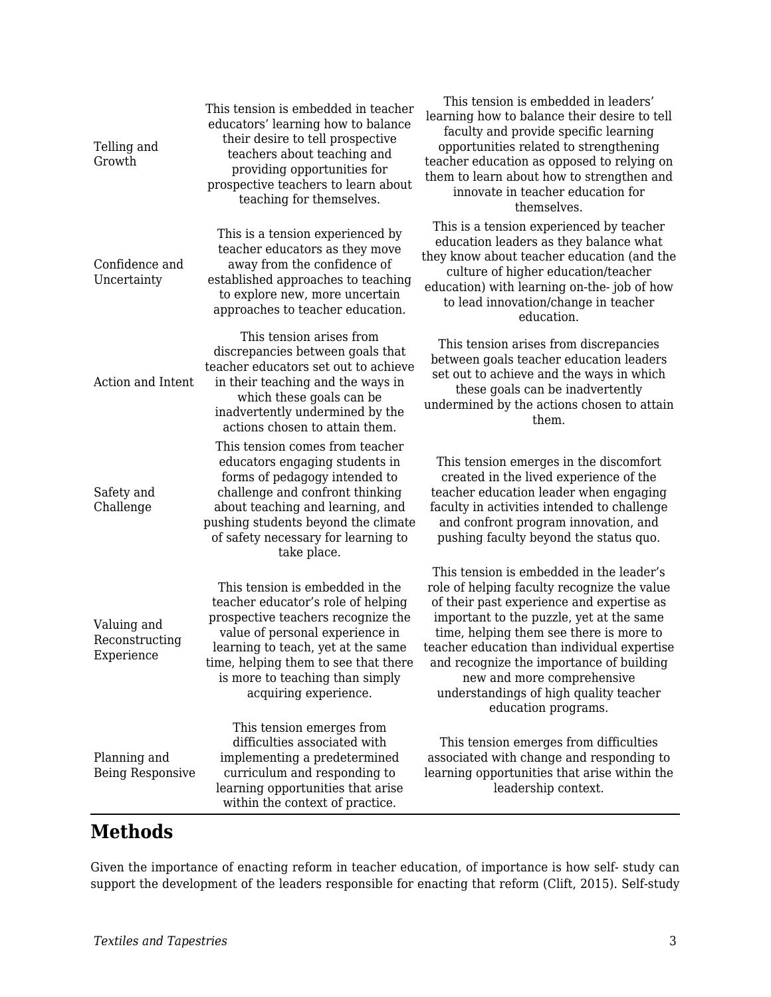| Telling and<br>Growth                       | This tension is embedded in teacher<br>educators' learning how to balance<br>their desire to tell prospective<br>teachers about teaching and<br>providing opportunities for<br>prospective teachers to learn about<br>teaching for themselves.                                           | This tension is embedded in leaders'<br>learning how to balance their desire to tell<br>faculty and provide specific learning<br>opportunities related to strengthening<br>teacher education as opposed to relying on<br>them to learn about how to strengthen and<br>innovate in teacher education for<br>themselves.                                                                                                |
|---------------------------------------------|------------------------------------------------------------------------------------------------------------------------------------------------------------------------------------------------------------------------------------------------------------------------------------------|-----------------------------------------------------------------------------------------------------------------------------------------------------------------------------------------------------------------------------------------------------------------------------------------------------------------------------------------------------------------------------------------------------------------------|
| Confidence and<br>Uncertainty               | This is a tension experienced by<br>teacher educators as they move<br>away from the confidence of<br>established approaches to teaching<br>to explore new, more uncertain<br>approaches to teacher education.                                                                            | This is a tension experienced by teacher<br>education leaders as they balance what<br>they know about teacher education (and the<br>culture of higher education/teacher<br>education) with learning on-the-job of how<br>to lead innovation/change in teacher<br>education.                                                                                                                                           |
| Action and Intent                           | This tension arises from<br>discrepancies between goals that<br>teacher educators set out to achieve<br>in their teaching and the ways in<br>which these goals can be<br>inadvertently undermined by the<br>actions chosen to attain them.                                               | This tension arises from discrepancies<br>between goals teacher education leaders<br>set out to achieve and the ways in which<br>these goals can be inadvertently<br>undermined by the actions chosen to attain<br>them.                                                                                                                                                                                              |
| Safety and<br>Challenge                     | This tension comes from teacher<br>educators engaging students in<br>forms of pedagogy intended to<br>challenge and confront thinking<br>about teaching and learning, and<br>pushing students beyond the climate<br>of safety necessary for learning to<br>take place.                   | This tension emerges in the discomfort<br>created in the lived experience of the<br>teacher education leader when engaging<br>faculty in activities intended to challenge<br>and confront program innovation, and<br>pushing faculty beyond the status quo.                                                                                                                                                           |
| Valuing and<br>Reconstructing<br>Experience | This tension is embedded in the<br>teacher educator's role of helping<br>prospective teachers recognize the<br>value of personal experience in<br>learning to teach, yet at the same<br>time, helping them to see that there<br>is more to teaching than simply<br>acquiring experience. | This tension is embedded in the leader's<br>role of helping faculty recognize the value<br>of their past experience and expertise as<br>important to the puzzle, yet at the same<br>time, helping them see there is more to<br>teacher education than individual expertise<br>and recognize the importance of building<br>new and more comprehensive<br>understandings of high quality teacher<br>education programs. |
| Planning and<br><b>Being Responsive</b>     | This tension emerges from<br>difficulties associated with<br>implementing a predetermined<br>curriculum and responding to<br>learning opportunities that arise<br>within the context of practice.                                                                                        | This tension emerges from difficulties<br>associated with change and responding to<br>learning opportunities that arise within the<br>leadership context.                                                                                                                                                                                                                                                             |

## **Methods**

Given the importance of enacting reform in teacher education, of importance is how self- study can support the development of the leaders responsible for enacting that reform (Clift, 2015). Self-study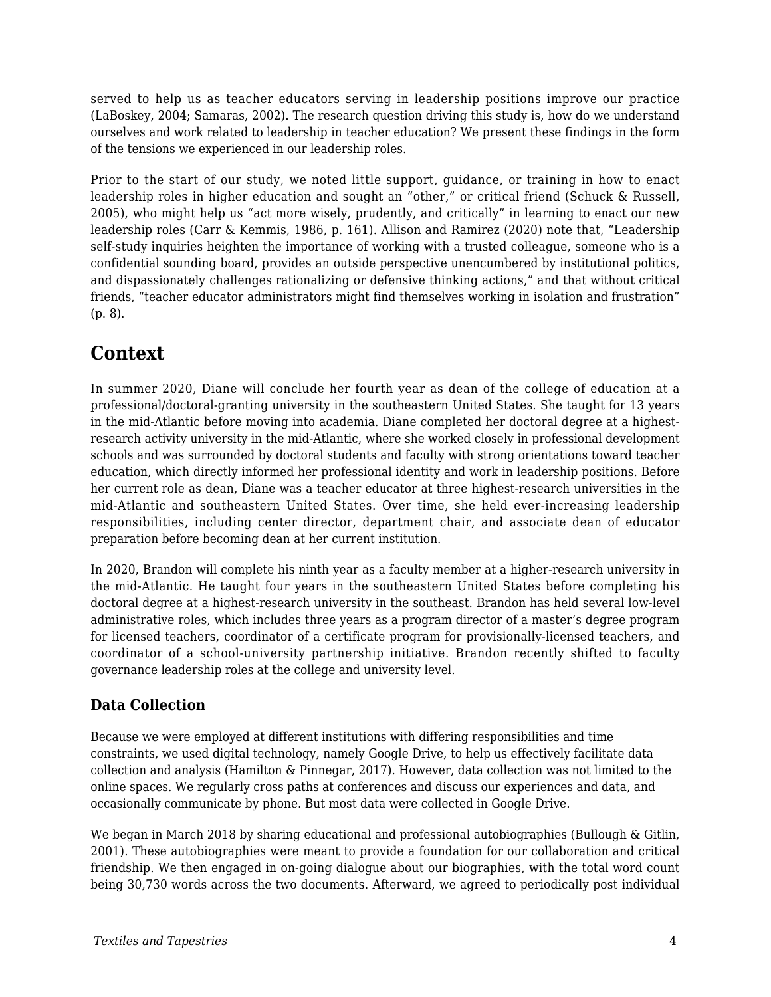served to help us as teacher educators serving in leadership positions improve our practice (LaBoskey, 2004; Samaras, 2002). The research question driving this study is, how do we understand ourselves and work related to leadership in teacher education? We present these findings in the form of the tensions we experienced in our leadership roles.

Prior to the start of our study, we noted little support, guidance, or training in how to enact leadership roles in higher education and sought an "other," or critical friend (Schuck & Russell, 2005), who might help us "act more wisely, prudently, and critically" in learning to enact our new leadership roles (Carr & Kemmis, 1986, p. 161). Allison and Ramirez (2020) note that, "Leadership self-study inquiries heighten the importance of working with a trusted colleague, someone who is a confidential sounding board, provides an outside perspective unencumbered by institutional politics, and dispassionately challenges rationalizing or defensive thinking actions," and that without critical friends, "teacher educator administrators might find themselves working in isolation and frustration" (p. 8).

## **Context**

In summer 2020, Diane will conclude her fourth year as dean of the college of education at a professional/doctoral-granting university in the southeastern United States. She taught for 13 years in the mid-Atlantic before moving into academia. Diane completed her doctoral degree at a highestresearch activity university in the mid-Atlantic, where she worked closely in professional development schools and was surrounded by doctoral students and faculty with strong orientations toward teacher education, which directly informed her professional identity and work in leadership positions. Before her current role as dean, Diane was a teacher educator at three highest-research universities in the mid-Atlantic and southeastern United States. Over time, she held ever-increasing leadership responsibilities, including center director, department chair, and associate dean of educator preparation before becoming dean at her current institution.

In 2020, Brandon will complete his ninth year as a faculty member at a higher-research university in the mid-Atlantic. He taught four years in the southeastern United States before completing his doctoral degree at a highest-research university in the southeast. Brandon has held several low-level administrative roles, which includes three years as a program director of a master's degree program for licensed teachers, coordinator of a certificate program for provisionally-licensed teachers, and coordinator of a school-university partnership initiative. Brandon recently shifted to faculty governance leadership roles at the college and university level.

#### **Data Collection**

Because we were employed at different institutions with differing responsibilities and time constraints, we used digital technology, namely Google Drive, to help us effectively facilitate data collection and analysis (Hamilton & Pinnegar, 2017). However, data collection was not limited to the online spaces. We regularly cross paths at conferences and discuss our experiences and data, and occasionally communicate by phone. But most data were collected in Google Drive.

We began in March 2018 by sharing educational and professional autobiographies (Bullough & Gitlin, 2001). These autobiographies were meant to provide a foundation for our collaboration and critical friendship. We then engaged in on-going dialogue about our biographies, with the total word count being 30,730 words across the two documents. Afterward, we agreed to periodically post individual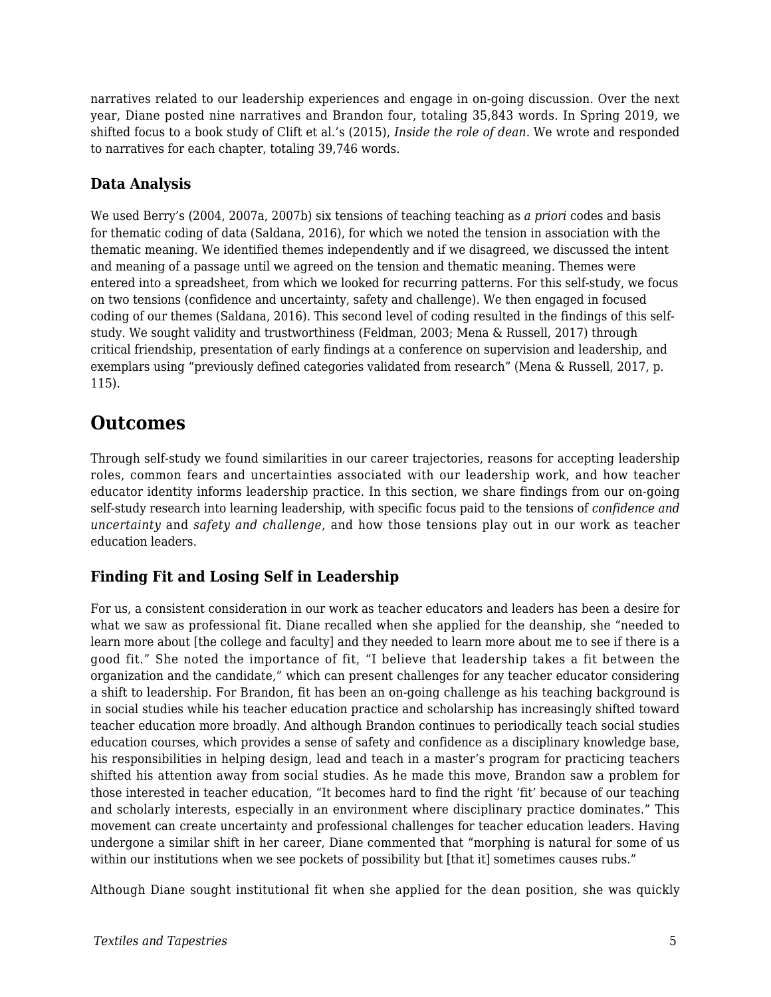narratives related to our leadership experiences and engage in on-going discussion. Over the next year, Diane posted nine narratives and Brandon four, totaling 35,843 words. In Spring 2019, we shifted focus to a book study of Clift et al.'s (2015), *Inside the role of dean*. We wrote and responded to narratives for each chapter, totaling 39,746 words.

#### **Data Analysis**

We used Berry's (2004, 2007a, 2007b) six tensions of teaching teaching as *a priori* codes and basis for thematic coding of data (Saldana, 2016), for which we noted the tension in association with the thematic meaning. We identified themes independently and if we disagreed, we discussed the intent and meaning of a passage until we agreed on the tension and thematic meaning. Themes were entered into a spreadsheet, from which we looked for recurring patterns. For this self-study, we focus on two tensions (confidence and uncertainty, safety and challenge). We then engaged in focused coding of our themes (Saldana, 2016). This second level of coding resulted in the findings of this selfstudy. We sought validity and trustworthiness (Feldman, 2003; Mena & Russell, 2017) through critical friendship, presentation of early findings at a conference on supervision and leadership, and exemplars using "previously defined categories validated from research" (Mena & Russell, 2017, p. 115).

### **Outcomes**

Through self-study we found similarities in our career trajectories, reasons for accepting leadership roles, common fears and uncertainties associated with our leadership work, and how teacher educator identity informs leadership practice. In this section, we share findings from our on-going self-study research into learning leadership, with specific focus paid to the tensions of *confidence and uncertainty* and *safety and challenge*, and how those tensions play out in our work as teacher education leaders.

#### **Finding Fit and Losing Self in Leadership**

For us, a consistent consideration in our work as teacher educators and leaders has been a desire for what we saw as professional fit. Diane recalled when she applied for the deanship, she "needed to learn more about [the college and faculty] and they needed to learn more about me to see if there is a good fit." She noted the importance of fit, "I believe that leadership takes a fit between the organization and the candidate," which can present challenges for any teacher educator considering a shift to leadership. For Brandon, fit has been an on-going challenge as his teaching background is in social studies while his teacher education practice and scholarship has increasingly shifted toward teacher education more broadly. And although Brandon continues to periodically teach social studies education courses, which provides a sense of safety and confidence as a disciplinary knowledge base, his responsibilities in helping design, lead and teach in a master's program for practicing teachers shifted his attention away from social studies. As he made this move, Brandon saw a problem for those interested in teacher education, "It becomes hard to find the right 'fit' because of our teaching and scholarly interests, especially in an environment where disciplinary practice dominates." This movement can create uncertainty and professional challenges for teacher education leaders. Having undergone a similar shift in her career, Diane commented that "morphing is natural for some of us within our institutions when we see pockets of possibility but [that it] sometimes causes rubs."

Although Diane sought institutional fit when she applied for the dean position, she was quickly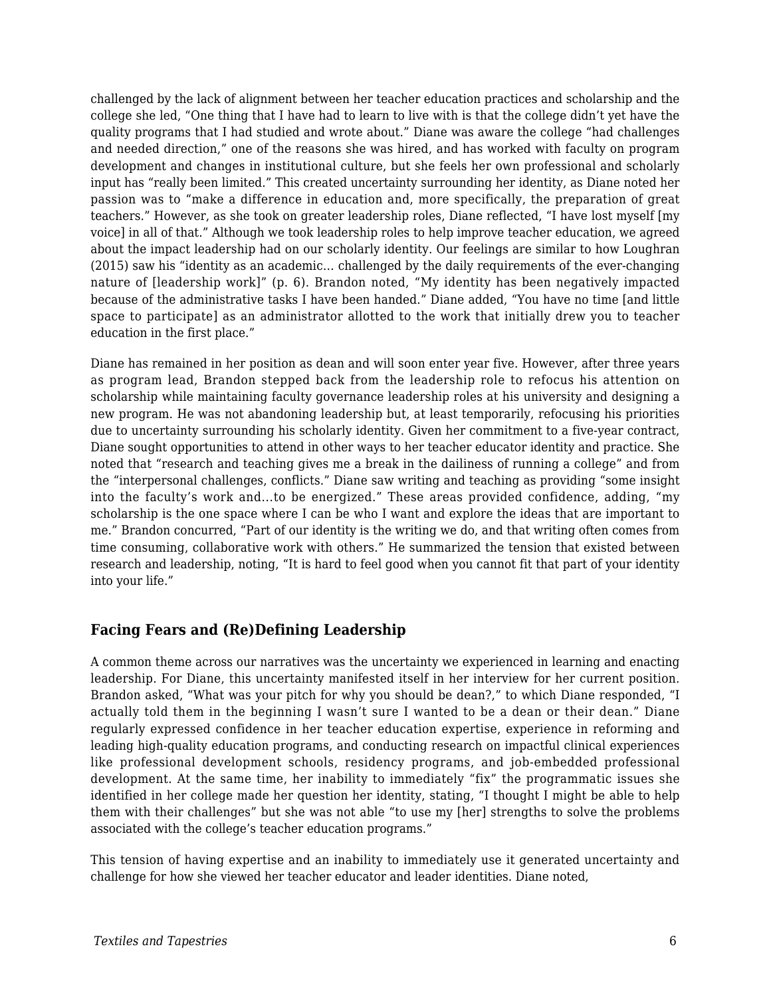challenged by the lack of alignment between her teacher education practices and scholarship and the college she led, "One thing that I have had to learn to live with is that the college didn't yet have the quality programs that I had studied and wrote about." Diane was aware the college "had challenges and needed direction," one of the reasons she was hired, and has worked with faculty on program development and changes in institutional culture, but she feels her own professional and scholarly input has "really been limited." This created uncertainty surrounding her identity, as Diane noted her passion was to "make a difference in education and, more specifically, the preparation of great teachers." However, as she took on greater leadership roles, Diane reflected, "I have lost myself [my voice] in all of that." Although we took leadership roles to help improve teacher education, we agreed about the impact leadership had on our scholarly identity. Our feelings are similar to how Loughran (2015) saw his "identity as an academic… challenged by the daily requirements of the ever-changing nature of [leadership work]" (p. 6). Brandon noted, "My identity has been negatively impacted because of the administrative tasks I have been handed." Diane added, "You have no time [and little space to participate] as an administrator allotted to the work that initially drew you to teacher education in the first place."

Diane has remained in her position as dean and will soon enter year five. However, after three years as program lead, Brandon stepped back from the leadership role to refocus his attention on scholarship while maintaining faculty governance leadership roles at his university and designing a new program. He was not abandoning leadership but, at least temporarily, refocusing his priorities due to uncertainty surrounding his scholarly identity. Given her commitment to a five-year contract, Diane sought opportunities to attend in other ways to her teacher educator identity and practice. She noted that "research and teaching gives me a break in the dailiness of running a college" and from the "interpersonal challenges, conflicts." Diane saw writing and teaching as providing "some insight into the faculty's work and...to be energized." These areas provided confidence, adding, "my scholarship is the one space where I can be who I want and explore the ideas that are important to me." Brandon concurred, "Part of our identity is the writing we do, and that writing often comes from time consuming, collaborative work with others." He summarized the tension that existed between research and leadership, noting, "It is hard to feel good when you cannot fit that part of your identity into your life."

#### **Facing Fears and (Re)Defining Leadership**

A common theme across our narratives was the uncertainty we experienced in learning and enacting leadership. For Diane, this uncertainty manifested itself in her interview for her current position. Brandon asked, "What was your pitch for why you should be dean?," to which Diane responded, "I actually told them in the beginning I wasn't sure I wanted to be a dean or their dean." Diane regularly expressed confidence in her teacher education expertise, experience in reforming and leading high-quality education programs, and conducting research on impactful clinical experiences like professional development schools, residency programs, and job-embedded professional development. At the same time, her inability to immediately "fix" the programmatic issues she identified in her college made her question her identity, stating, "I thought I might be able to help them with their challenges" but she was not able "to use my [her] strengths to solve the problems associated with the college's teacher education programs."

This tension of having expertise and an inability to immediately use it generated uncertainty and challenge for how she viewed her teacher educator and leader identities. Diane noted,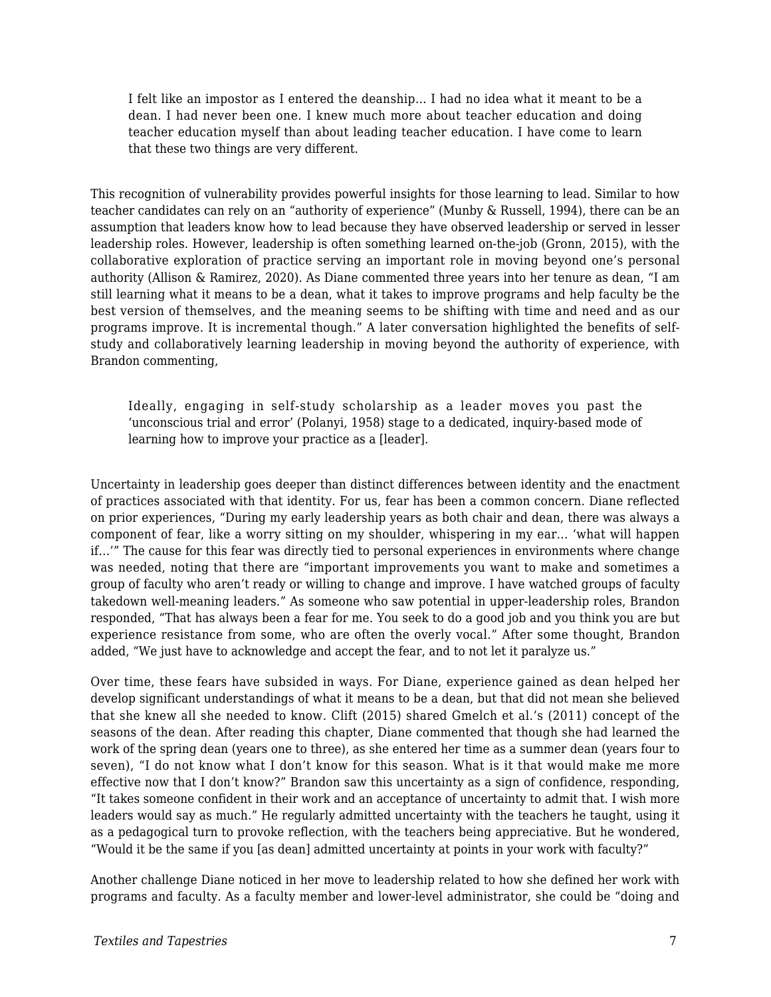I felt like an impostor as I entered the deanship… I had no idea what it meant to be a dean. I had never been one. I knew much more about teacher education and doing teacher education myself than about leading teacher education. I have come to learn that these two things are very different.

This recognition of vulnerability provides powerful insights for those learning to lead. Similar to how teacher candidates can rely on an "authority of experience" (Munby & Russell, 1994), there can be an assumption that leaders know how to lead because they have observed leadership or served in lesser leadership roles. However, leadership is often something learned on-the-job (Gronn, 2015), with the collaborative exploration of practice serving an important role in moving beyond one's personal authority (Allison & Ramirez, 2020). As Diane commented three years into her tenure as dean, "I am still learning what it means to be a dean, what it takes to improve programs and help faculty be the best version of themselves, and the meaning seems to be shifting with time and need and as our programs improve. It is incremental though." A later conversation highlighted the benefits of selfstudy and collaboratively learning leadership in moving beyond the authority of experience, with Brandon commenting,

Ideally, engaging in self-study scholarship as a leader moves you past the 'unconscious trial and error' (Polanyi, 1958) stage to a dedicated, inquiry-based mode of learning how to improve your practice as a [leader].

Uncertainty in leadership goes deeper than distinct differences between identity and the enactment of practices associated with that identity. For us, fear has been a common concern. Diane reflected on prior experiences, "During my early leadership years as both chair and dean, there was always a component of fear, like a worry sitting on my shoulder, whispering in my ear… 'what will happen if…'" The cause for this fear was directly tied to personal experiences in environments where change was needed, noting that there are "important improvements you want to make and sometimes a group of faculty who aren't ready or willing to change and improve. I have watched groups of faculty takedown well-meaning leaders." As someone who saw potential in upper-leadership roles, Brandon responded, "That has always been a fear for me. You seek to do a good job and you think you are but experience resistance from some, who are often the overly vocal." After some thought, Brandon added, "We just have to acknowledge and accept the fear, and to not let it paralyze us."

Over time, these fears have subsided in ways. For Diane, experience gained as dean helped her develop significant understandings of what it means to be a dean, but that did not mean she believed that she knew all she needed to know. Clift (2015) shared Gmelch et al.'s (2011) concept of the seasons of the dean. After reading this chapter, Diane commented that though she had learned the work of the spring dean (years one to three), as she entered her time as a summer dean (years four to seven), "I do not know what I don't know for this season. What is it that would make me more effective now that I don't know?" Brandon saw this uncertainty as a sign of confidence, responding, "It takes someone confident in their work and an acceptance of uncertainty to admit that. I wish more leaders would say as much." He regularly admitted uncertainty with the teachers he taught, using it as a pedagogical turn to provoke reflection, with the teachers being appreciative. But he wondered, "Would it be the same if you [as dean] admitted uncertainty at points in your work with faculty?"

Another challenge Diane noticed in her move to leadership related to how she defined her work with programs and faculty. As a faculty member and lower-level administrator, she could be "doing and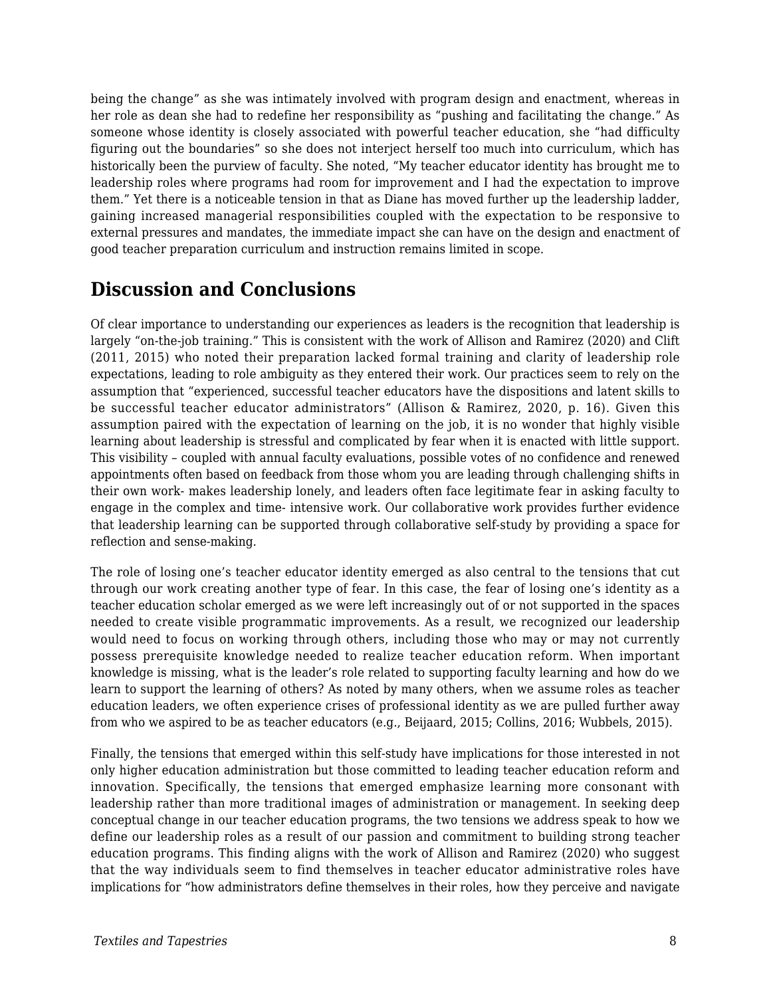being the change" as she was intimately involved with program design and enactment, whereas in her role as dean she had to redefine her responsibility as "pushing and facilitating the change." As someone whose identity is closely associated with powerful teacher education, she "had difficulty figuring out the boundaries" so she does not interject herself too much into curriculum, which has historically been the purview of faculty. She noted, "My teacher educator identity has brought me to leadership roles where programs had room for improvement and I had the expectation to improve them." Yet there is a noticeable tension in that as Diane has moved further up the leadership ladder, gaining increased managerial responsibilities coupled with the expectation to be responsive to external pressures and mandates, the immediate impact she can have on the design and enactment of good teacher preparation curriculum and instruction remains limited in scope.

## **Discussion and Conclusions**

Of clear importance to understanding our experiences as leaders is the recognition that leadership is largely "on-the-job training." This is consistent with the work of Allison and Ramirez (2020) and Clift (2011, 2015) who noted their preparation lacked formal training and clarity of leadership role expectations, leading to role ambiguity as they entered their work. Our practices seem to rely on the assumption that "experienced, successful teacher educators have the dispositions and latent skills to be successful teacher educator administrators" (Allison & Ramirez, 2020, p. 16). Given this assumption paired with the expectation of learning on the job, it is no wonder that highly visible learning about leadership is stressful and complicated by fear when it is enacted with little support. This visibility – coupled with annual faculty evaluations, possible votes of no confidence and renewed appointments often based on feedback from those whom you are leading through challenging shifts in their own work- makes leadership lonely, and leaders often face legitimate fear in asking faculty to engage in the complex and time- intensive work. Our collaborative work provides further evidence that leadership learning can be supported through collaborative self-study by providing a space for reflection and sense-making.

The role of losing one's teacher educator identity emerged as also central to the tensions that cut through our work creating another type of fear. In this case, the fear of losing one's identity as a teacher education scholar emerged as we were left increasingly out of or not supported in the spaces needed to create visible programmatic improvements. As a result, we recognized our leadership would need to focus on working through others, including those who may or may not currently possess prerequisite knowledge needed to realize teacher education reform. When important knowledge is missing, what is the leader's role related to supporting faculty learning and how do we learn to support the learning of others? As noted by many others, when we assume roles as teacher education leaders, we often experience crises of professional identity as we are pulled further away from who we aspired to be as teacher educators (e.g., Beijaard, 2015; Collins, 2016; Wubbels, 2015).

Finally, the tensions that emerged within this self-study have implications for those interested in not only higher education administration but those committed to leading teacher education reform and innovation. Specifically, the tensions that emerged emphasize learning more consonant with leadership rather than more traditional images of administration or management. In seeking deep conceptual change in our teacher education programs, the two tensions we address speak to how we define our leadership roles as a result of our passion and commitment to building strong teacher education programs. This finding aligns with the work of Allison and Ramirez (2020) who suggest that the way individuals seem to find themselves in teacher educator administrative roles have implications for "how administrators define themselves in their roles, how they perceive and navigate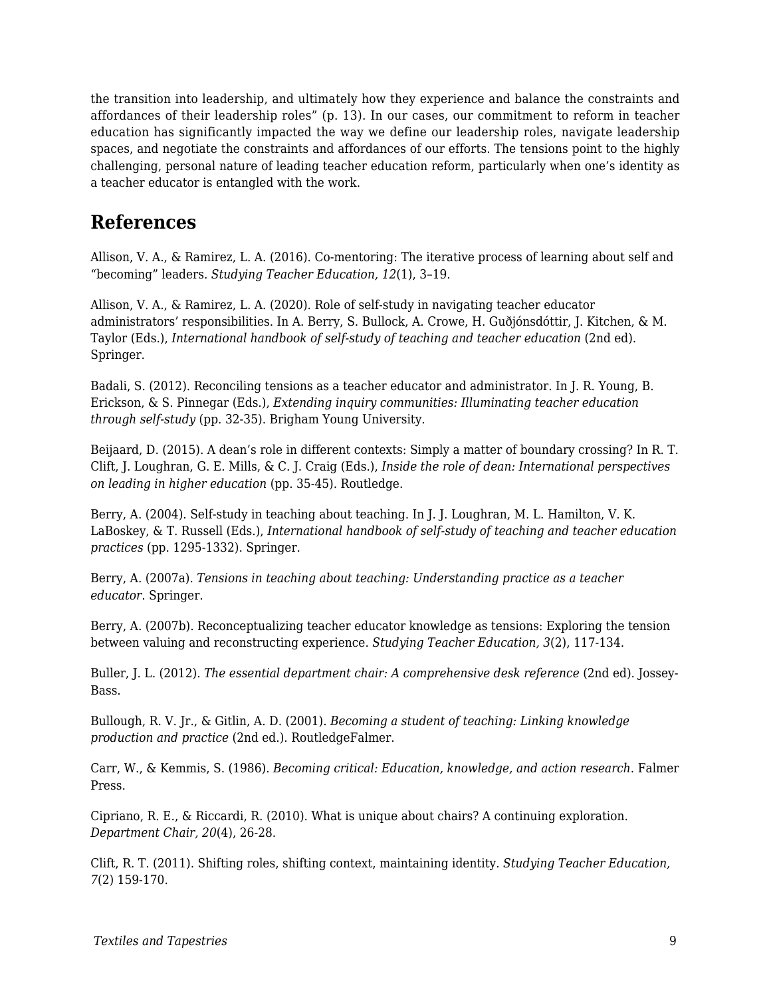the transition into leadership, and ultimately how they experience and balance the constraints and affordances of their leadership roles" (p. 13). In our cases, our commitment to reform in teacher education has significantly impacted the way we define our leadership roles, navigate leadership spaces, and negotiate the constraints and affordances of our efforts. The tensions point to the highly challenging, personal nature of leading teacher education reform, particularly when one's identity as a teacher educator is entangled with the work.

### **References**

Allison, V. A., & Ramirez, L. A. (2016). Co-mentoring: The iterative process of learning about self and "becoming" leaders. *Studying Teacher Education, 12*(1), 3–19.

Allison, V. A., & Ramirez, L. A. (2020). Role of self-study in navigating teacher educator administrators' responsibilities. In A. Berry, S. Bullock, A. Crowe, H. Guðjónsdóttir, J. Kitchen, & M. Taylor (Eds.), *International handbook of self-study of teaching and teacher education* (2nd ed). Springer.

Badali, S. (2012). Reconciling tensions as a teacher educator and administrator. In J. R. Young, B. Erickson, & S. Pinnegar (Eds.), *Extending inquiry communities: Illuminating teacher education through self-study* (pp. 32-35). Brigham Young University.

Beijaard, D. (2015). A dean's role in different contexts: Simply a matter of boundary crossing? In R. T. Clift, J. Loughran, G. E. Mills, & C. J. Craig (Eds.), *Inside the role of dean: International perspectives on leading in higher education* (pp. 35-45). Routledge.

Berry, A. (2004). Self-study in teaching about teaching. In J. J. Loughran, M. L. Hamilton, V. K. LaBoskey, & T. Russell (Eds.), *International handbook of self-study of teaching and teacher education practices* (pp. 1295-1332). Springer.

Berry, A. (2007a). *Tensions in teaching about teaching: Understanding practice as a teacher educator*. Springer.

Berry, A. (2007b). Reconceptualizing teacher educator knowledge as tensions: Exploring the tension between valuing and reconstructing experience. *Studying Teacher Education, 3*(2), 117-134.

Buller, J. L. (2012). *The essential department chair: A comprehensive desk reference* (2nd ed). Jossey-Bass.

Bullough, R. V. Jr., & Gitlin, A. D. (2001). *Becoming a student of teaching: Linking knowledge production and practice* (2nd ed.). RoutledgeFalmer.

Carr, W., & Kemmis, S. (1986). *Becoming critical: Education, knowledge, and action research*. Falmer Press.

Cipriano, R. E., & Riccardi, R. (2010). What is unique about chairs? A continuing exploration. *Department Chair, 20*(4), 26-28.

Clift, R. T. (2011). Shifting roles, shifting context, maintaining identity. *Studying Teacher Education, 7*(2) 159-170.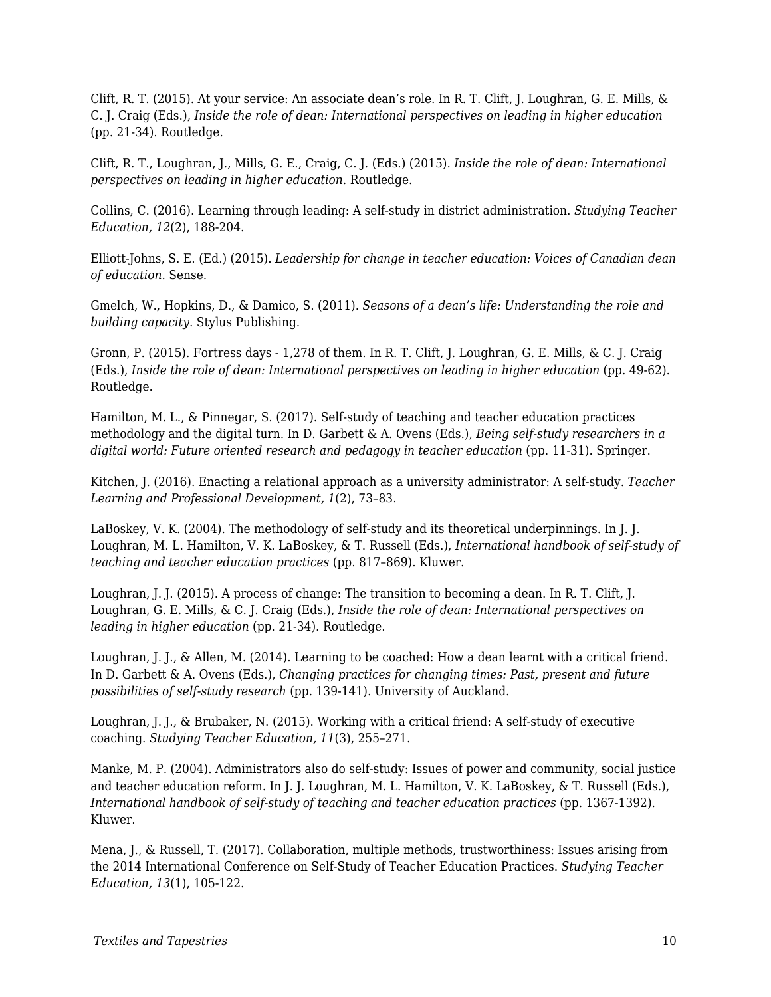Clift, R. T. (2015). At your service: An associate dean's role. In R. T. Clift, J. Loughran, G. E. Mills, & C. J. Craig (Eds.), *Inside the role of dean: International perspectives on leading in higher education* (pp. 21-34). Routledge.

Clift, R. T., Loughran, J., Mills, G. E., Craig, C. J. (Eds.) (2015). *Inside the role of dean: International perspectives on leading in higher education*. Routledge.

Collins, C. (2016). Learning through leading: A self-study in district administration. *Studying Teacher Education, 12*(2), 188-204.

Elliott-Johns, S. E. (Ed.) (2015). *Leadership for change in teacher education: Voices of Canadian dean of education*. Sense.

Gmelch, W., Hopkins, D., & Damico, S. (2011). *Seasons of a dean's life: Understanding the role and building capacity*. Stylus Publishing.

Gronn, P. (2015). Fortress days - 1,278 of them. In R. T. Clift, J. Loughran, G. E. Mills, & C. J. Craig (Eds.), *Inside the role of dean: International perspectives on leading in higher education* (pp. 49-62). Routledge.

Hamilton, M. L., & Pinnegar, S. (2017). Self-study of teaching and teacher education practices methodology and the digital turn. In D. Garbett & A. Ovens (Eds.), *Being self-study researchers in a digital world: Future oriented research and pedagogy in teacher education (pp. 11-31). Springer.* 

Kitchen, J. (2016). Enacting a relational approach as a university administrator: A self-study. *Teacher Learning and Professional Development, 1*(2), 73–83.

LaBoskey, V. K. (2004). The methodology of self-study and its theoretical underpinnings. In J. J. Loughran, M. L. Hamilton, V. K. LaBoskey, & T. Russell (Eds.), *International handbook of self-study of teaching and teacher education practices* (pp. 817–869). Kluwer.

Loughran, J. J. (2015). A process of change: The transition to becoming a dean. In R. T. Clift, J. Loughran, G. E. Mills, & C. J. Craig (Eds.), *Inside the role of dean: International perspectives on leading in higher education* (pp. 21-34). Routledge.

Loughran, J. J., & Allen, M. (2014). Learning to be coached: How a dean learnt with a critical friend. In D. Garbett & A. Ovens (Eds.), *Changing practices for changing times: Past, present and future possibilities of self-study research* (pp. 139-141). University of Auckland.

Loughran, J. J., & Brubaker, N. (2015). Working with a critical friend: A self-study of executive coaching. *Studying Teacher Education, 11*(3), 255–271.

Manke, M. P. (2004). Administrators also do self-study: Issues of power and community, social justice and teacher education reform. In J. J. Loughran, M. L. Hamilton, V. K. LaBoskey, & T. Russell (Eds.), International handbook of self-study of teaching and teacher education practices (pp. 1367-1392). Kluwer.

Mena, J., & Russell, T. (2017). Collaboration, multiple methods, trustworthiness: Issues arising from the 2014 International Conference on Self-Study of Teacher Education Practices. *Studying Teacher Education, 13*(1), 105-122.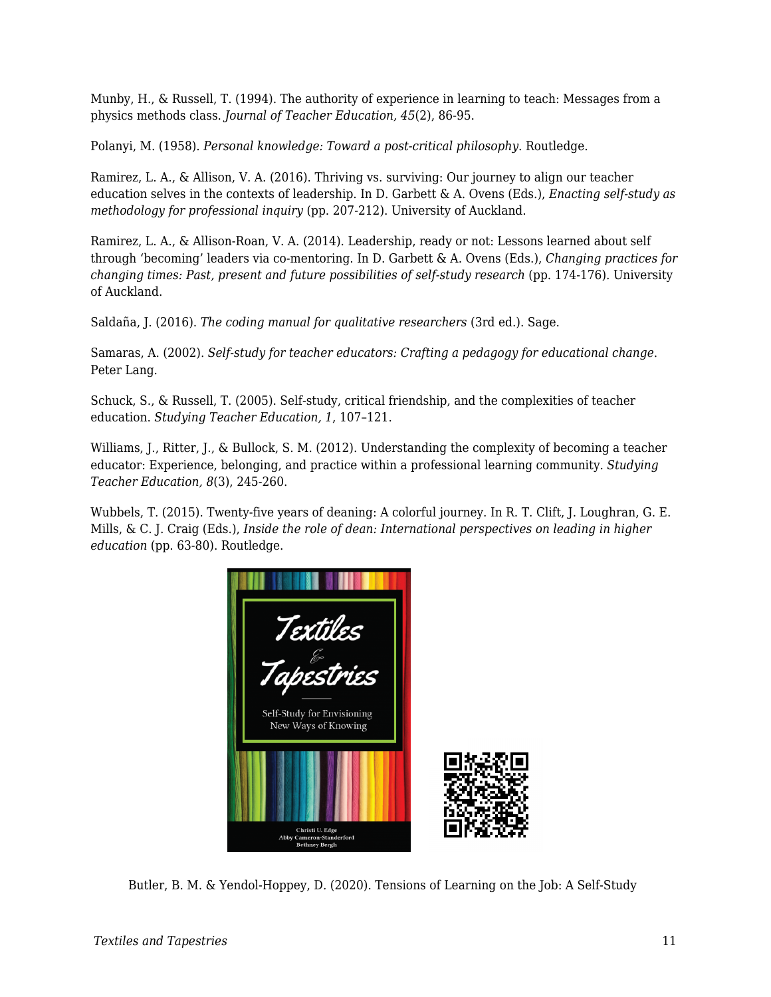Munby, H., & Russell, T. (1994). The authority of experience in learning to teach: Messages from a physics methods class. *Journal of Teacher Education, 45*(2), 86-95.

Polanyi, M. (1958). *Personal knowledge: Toward a post-critical philosophy*. Routledge.

Ramirez, L. A., & Allison, V. A. (2016). Thriving vs. surviving: Our journey to align our teacher education selves in the contexts of leadership. In D. Garbett & A. Ovens (Eds.), *Enacting self-study as methodology for professional inquiry* (pp. 207-212). University of Auckland.

Ramirez, L. A., & Allison-Roan, V. A. (2014). Leadership, ready or not: Lessons learned about self through 'becoming' leaders via co-mentoring. In D. Garbett & A. Ovens (Eds.), *Changing practices for changing times: Past, present and future possibilities of self-study research (pp. 174-176). University* of Auckland.

Saldaña, J. (2016). *The coding manual for qualitative researchers* (3rd ed.). Sage.

Samaras, A. (2002). *Self-study for teacher educators: Crafting a pedagogy for educational change*. Peter Lang.

Schuck, S., & Russell, T. (2005). Self-study, critical friendship, and the complexities of teacher education. *Studying Teacher Education, 1*, 107–121.

Williams, J., Ritter, J., & Bullock, S. M. (2012). Understanding the complexity of becoming a teacher educator: Experience, belonging, and practice within a professional learning community. *Studying Teacher Education, 8*(3), 245-260.

Wubbels, T. (2015). Twenty-five years of deaning: A colorful journey. In R. T. Clift, J. Loughran, G. E. Mills, & C. J. Craig (Eds.), *Inside the role of dean: International perspectives on leading in higher education* (pp. 63-80). Routledge.



Butler, B. M. & Yendol-Hoppey, D. (2020). Tensions of Learning on the Job: A Self-Study